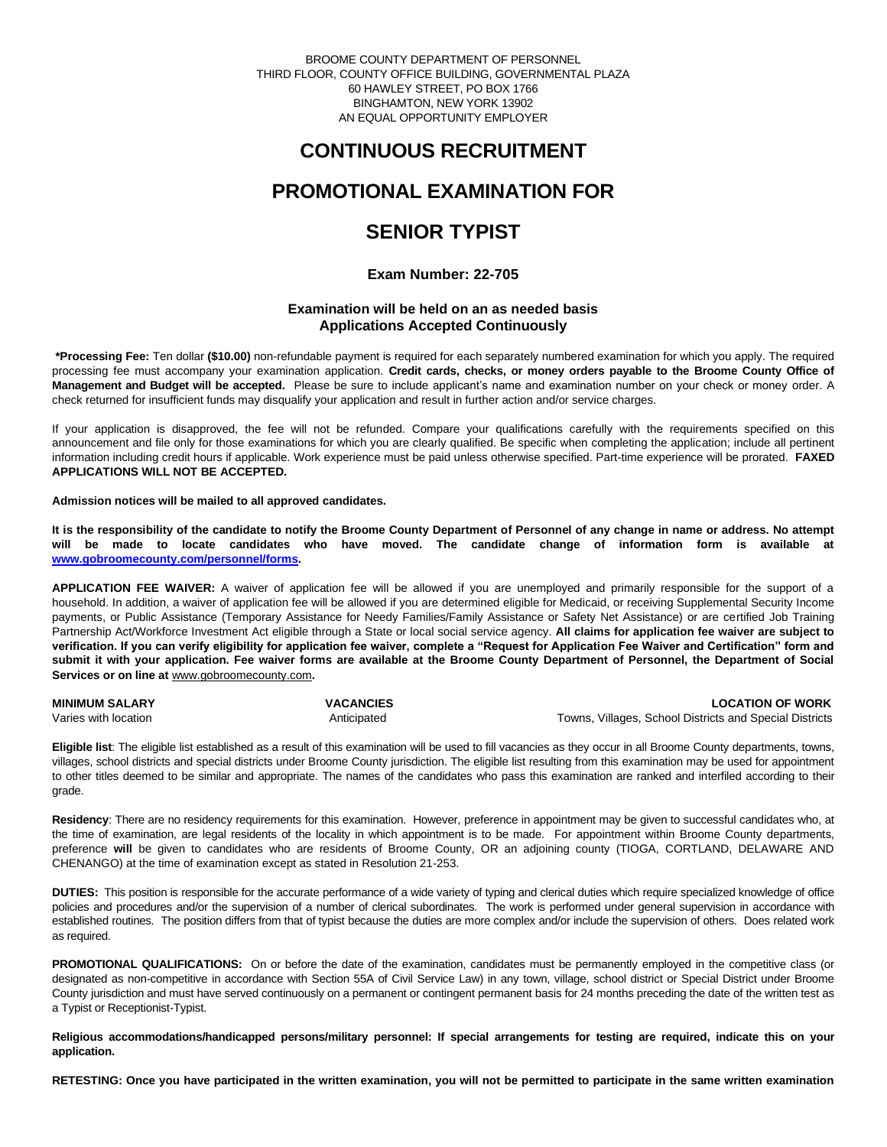BROOME COUNTY DEPARTMENT OF PERSONNEL THIRD FLOOR, COUNTY OFFICE BUILDING, GOVERNMENTAL PLAZA 60 HAWLEY STREET, PO BOX 1766 BINGHAMTON, NEW YORK 13902 AN EQUAL OPPORTUNITY EMPLOYER

# **CONTINUOUS RECRUITMENT**

# **PROMOTIONAL EXAMINATION FOR**

# **SENIOR TYPIST**

## **Exam Number: 22-705**

## **Examination will be held on an as needed basis Applications Accepted Continuously**

**\*Processing Fee:** Ten dollar **(\$10.00)** non-refundable payment is required for each separately numbered examination for which you apply. The required processing fee must accompany your examination application. **Credit cards, checks, or money orders payable to the Broome County Office of Management and Budget will be accepted.** Please be sure to include applicant's name and examination number on your check or money order. A check returned for insufficient funds may disqualify your application and result in further action and/or service charges.

If your application is disapproved, the fee will not be refunded. Compare your qualifications carefully with the requirements specified on this announcement and file only for those examinations for which you are clearly qualified. Be specific when completing the application; include all pertinent information including credit hours if applicable. Work experience must be paid unless otherwise specified. Part-time experience will be prorated. **FAXED APPLICATIONS WILL NOT BE ACCEPTED.** 

### **Admission notices will be mailed to all approved candidates.**

**It is the responsibility of the candidate to notify the Broome County Department of Personnel of any change in name or address. No attempt will be made to locate candidates who have moved. The candidate change of information form is available at [www.gobroomecounty.com/personnel/forms.](http://www.gobroomecounty.com/personnel/forms)** 

**APPLICATION FEE WAIVER:** A waiver of application fee will be allowed if you are unemployed and primarily responsible for the support of a household. In addition, a waiver of application fee will be allowed if you are determined eligible for Medicaid, or receiving Supplemental Security Income payments, or Public Assistance (Temporary Assistance for Needy Families/Family Assistance or Safety Net Assistance) or are certified Job Training Partnership Act/Workforce Investment Act eligible through a State or local social service agency. **All claims for application fee waiver are subject to verification. If you can verify eligibility for application fee waiver, complete a "Request for Application Fee Waiver and Certification" form and submit it with your application. Fee waiver forms are available at the Broome County Department of Personnel, the Department of Social Services or on line at** www.gobroomecounty.com**.** 

| <b>MINIMUM SALARY</b> | <b>VACANCIES</b> | <b>LOCATION OF WORK</b>                                 |
|-----------------------|------------------|---------------------------------------------------------|
| Varies with location  | Anticipated      | Towns, Villages, School Districts and Special Districts |

**Eligible list**: The eligible list established as a result of this examination will be used to fill vacancies as they occur in all Broome County departments, towns, villages, school districts and special districts under Broome County jurisdiction. The eligible list resulting from this examination may be used for appointment to other titles deemed to be similar and appropriate. The names of the candidates who pass this examination are ranked and interfiled according to their grade.

**Residency**: There are no residency requirements for this examination. However, preference in appointment may be given to successful candidates who, at the time of examination, are legal residents of the locality in which appointment is to be made. For appointment within Broome County departments, preference **will** be given to candidates who are residents of Broome County, OR an adjoining county (TIOGA, CORTLAND, DELAWARE AND CHENANGO) at the time of examination except as stated in Resolution 21-253.

**DUTIES:** This position is responsible for the accurate performance of a wide variety of typing and clerical duties which require specialized knowledge of office policies and procedures and/or the supervision of a number of clerical subordinates. The work is performed under general supervision in accordance with established routines. The position differs from that of typist because the duties are more complex and/or include the supervision of others. Does related work as required.

**PROMOTIONAL QUALIFICATIONS:** On or before the date of the examination, candidates must be permanently employed in the competitive class (or designated as non-competitive in accordance with Section 55A of Civil Service Law) in any town, village, school district or Special District under Broome County jurisdiction and must have served continuously on a permanent or contingent permanent basis for 24 months preceding the date of the written test as a Typist or Receptionist-Typist.

**Religious accommodations/handicapped persons/military personnel: If special arrangements for testing are required, indicate this on your application.**

**RETESTING: Once you have participated in the written examination, you will not be permitted to participate in the same written examination**